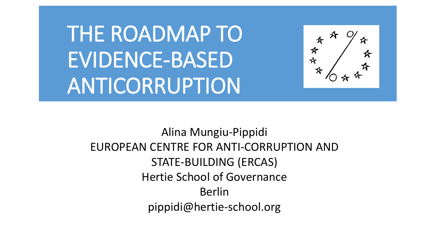THE ROADMAP TO EVIDENCE-BASED ANTICORRUPTION

☆☆ ⋊

Alina Mungiu-Pippidi EUROPEAN CENTRE FOR ANTI-CORRUPTION AND STATE-BUILDING (ERCAS) Hertie School of Governance Berlin pippidi@hertie-school.org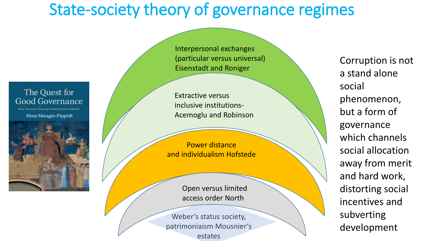## State-society theory of governance regimes

#### The Quest for Good Governance

**How Societics Develop Control of Corruption** Alina Mungiu-Pippidi



Interpersonal exchanges (particular versus universal) Eisenstadt and Roniger

Extractive versus inclusive institutions-Acemoglu and Robinson

Power distance and individualism Hofstede

> Open versus limited access order North

Weber's status society, patrimoniaism Mousnier's estates

Corruption is not a stand alone social phenomenon, but a form of governance which channels social allocation away from merit and hard work, distorting social incentives and subverting development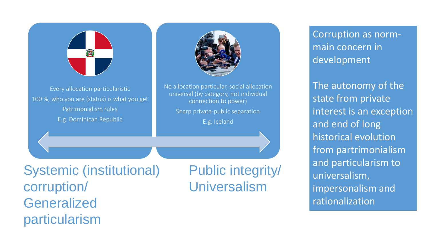

Every allocation particularistic 100 %, who you are (status) is what you get Patrimonialism rules E.g. Dominican Republic

ar (by category, not mi<br>connection to power) No allocation particular, social allocation universal (by category, not individual

Sharp private-public separation

E.g. Iceland

Systemic (institutional) corruption/ Generalized particularism

Public integrity/ Universalism

Corruption as normmain concern in development

The autonomy of the state from private interest is an exception and end of long historical evolution from partrimonialism and particularism to universalism, impersonalism and rationalization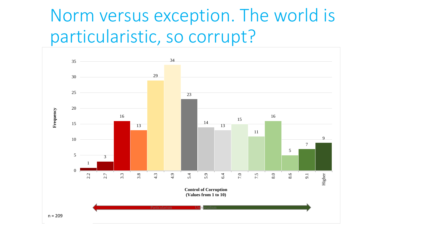## Norm versus exception. The world is particularistic, so corrupt?

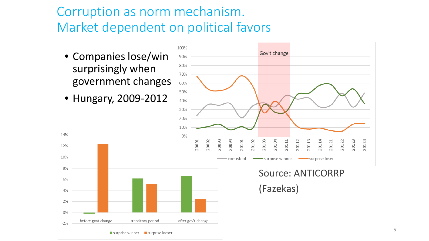#### Corruption as norm mechanism. Market dependent on political favors

- Companies lose/win surprisingly when government changes
- Hungary, 2009-2012

14%

12%

10%

8%

6%

4%

2%

 $0%$ 

 $-2%$ 

before govt change



Source: ANTICORRP (Fazekas)

 $\blacksquare$  surprise winner  $\blacksquare$  surprise looser

transitory period

after gov't change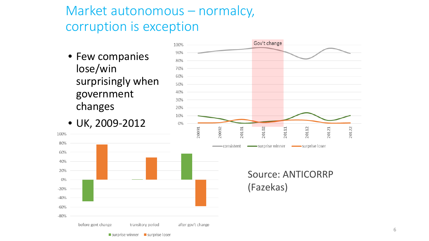#### Market autonomous – normalcy, corruption is exception

after gov't change

transitory period

surprise winner surprise loser

• Few companies lose/win surprisingly when government changes

• UK, 2009-2012

before govt change

100%

80%

60% 40%

20%

0%

 $-20%$  $-40%$ 

 $-60%$ 

 $-80%$ 



Source: ANTICORRP (Fazekas)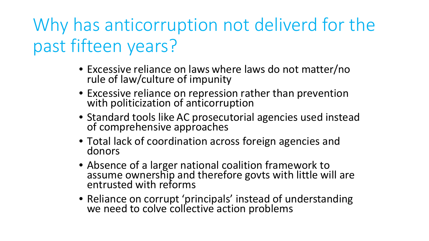# Why has anticorruption not deliverd for the past fifteen years?

- Excessive reliance on laws where laws do not matter/no rule of law/culture of impunity
- Excessive reliance on repression rather than prevention with politicization of anticorruption
- Standard tools like AC prosecutorial agencies used instead of comprehensive approaches
- Total lack of coordination across foreign agencies and donors
- Absence of a larger national coalition framework to assume ownership and therefore govts with little will are entrusted with reforms
- Reliance on corrupt 'principals' instead of understanding we need to colve collective action problems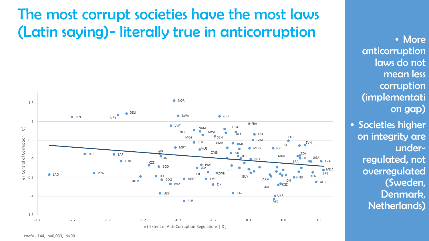## The most corrupt societies have the most laws (Latin saying)- literally true in anticorruption



• More anticorruption laws do not mean less corruption (implementati on gap)

• Societies higher on integrity are underregulated, not overregulated (Sweden, Denmark, Netherlands)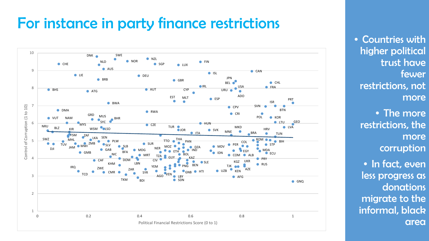### For instance in party finance restrictions



• Countries with higher political trust have fewer restrictions, not more

- The more restrictions, the more corruption
- In fact, even less progress as donations migrate to the informal, black area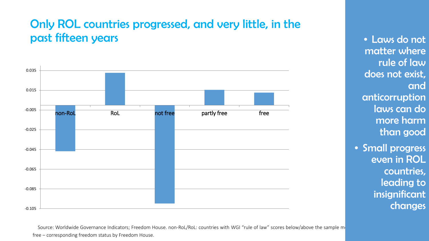#### Only ROL countries progressed, and very little, in the past fifteen years



Source: Worldwide Governance Indicators; Freedom House. non-RoL/RoL: countries with WGI "rule of law" scores below/above the sample m free – corresponding freedom status by Freedom House.

• Laws do not matter where rule of law does not exist, and anticorruption laws can do more harm than good

• Small progress even in ROL countries, leading to insignificant changes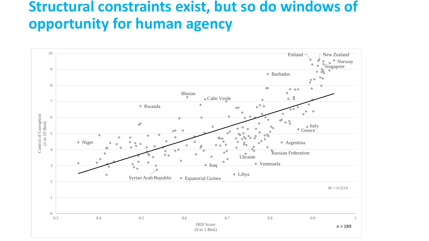### **Structural constraints exist, but so do windows of opportunity for human agency**

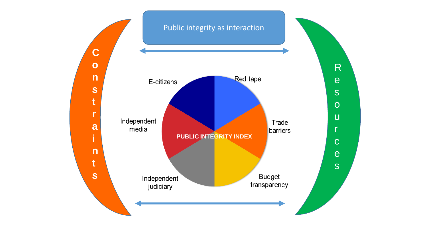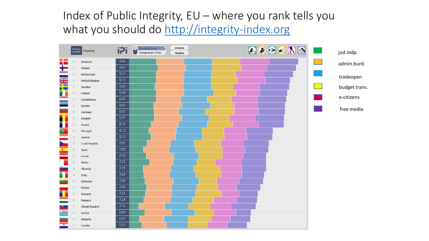#### Index of Public Integrity, EU – where you rank tells you what you should do [http://integrity-index.org](http://integrity-index.org/)

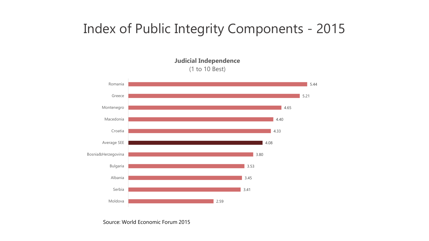#### Index of Public Integrity Components - 2015

**Judicial Independence** (1 to 10 Best)



Source: World Economic Forum 2015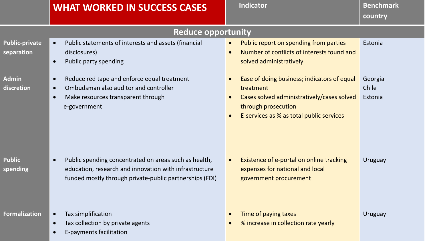|                                     | <b>WHAT WORKED IN SUCCESS CASES</b>                                                                                                                                                     | <b>Indicator</b>                                                                                                                                                                                                 | <b>Benchmark</b><br>country |  |
|-------------------------------------|-----------------------------------------------------------------------------------------------------------------------------------------------------------------------------------------|------------------------------------------------------------------------------------------------------------------------------------------------------------------------------------------------------------------|-----------------------------|--|
| <b>Reduce opportunity</b>           |                                                                                                                                                                                         |                                                                                                                                                                                                                  |                             |  |
| <b>Public-private</b><br>separation | Public statements of interests and assets (financial<br>$\bullet$<br>disclosures)<br>Public party spending<br>$\bullet$                                                                 | Public report on spending from parties<br>$\bullet$<br>Number of conflicts of interests found and<br>$\bullet$<br>solved administratively                                                                        | Estonia                     |  |
| <b>Admin</b><br>discretion          | Reduce red tape and enforce equal treatment<br>$\bullet$<br>Ombudsman also auditor and controller<br>$\bullet$<br>Make resources transparent through<br>$\bullet$<br>e-government       | Ease of doing business; indicators of equal<br>$\bullet$<br>treatment<br>Cases solved administratively/cases solved<br>$\bullet$<br>through prosecution<br>E-services as % as total public services<br>$\bullet$ | Georgia<br>Chile<br>Estonia |  |
| <b>Public</b><br>spending           | Public spending concentrated on areas such as health,<br>$\bullet$<br>education, research and innovation with infrastructure<br>funded mostly through private-public partnerships (FDI) | Existence of e-portal on online tracking<br>$\bullet$<br>expenses for national and local<br>government procurement                                                                                               | <b>Uruguay</b>              |  |
| <b>Formalization</b>                | Tax simplification<br>$\bullet$<br>Tax collection by private agents<br>$\bullet$<br>E-payments facilitation<br>$\bullet$                                                                | Time of paying taxes<br>$\bullet$<br>% increase in collection rate yearly                                                                                                                                        | <b>Uruguay</b>              |  |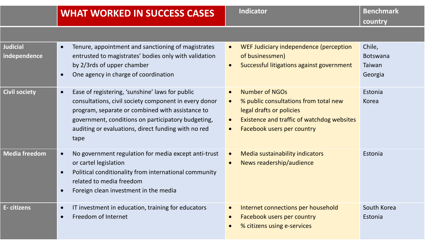| <b>Judicial</b><br>independence | Tenure, appointment and sanctioning of magistrates<br>entrusted to magistrates' bodies only with validation<br>by 2/3rds of upper chamber<br>One agency in charge of coordination                                                                                                              | WEF Judiciary independence (perception<br>$\bullet$<br>of businessmen)<br>Successful litigations against government<br>$\bullet$                                                                                           | Chile,<br><b>Botswana</b><br>Taiwan<br>Georgia |
|---------------------------------|------------------------------------------------------------------------------------------------------------------------------------------------------------------------------------------------------------------------------------------------------------------------------------------------|----------------------------------------------------------------------------------------------------------------------------------------------------------------------------------------------------------------------------|------------------------------------------------|
| <b>Civil society</b>            | Ease of registering, 'sunshine' laws for public<br>$\bullet$<br>consultations, civil society component in every donor<br>program, separate or combined with assistance to<br>government, conditions on participatory budgeting,<br>auditing or evaluations, direct funding with no red<br>tape | <b>Number of NGOs</b><br>$\bullet$<br>% public consultations from total new<br>$\bullet$<br>legal drafts or policies<br>Existence and traffic of watchdog websites<br>$\bullet$<br>Facebook users per country<br>$\bullet$ | Estonia<br>Korea                               |
| <b>Media freedom</b>            | No government regulation for media except anti-trust<br>$\bullet$<br>or cartel legislation<br>Political conditionality from international community<br>$\bullet$<br>related to media freedom<br>Foreign clean investment in the media                                                          | Media sustainability indicators<br>$\bullet$<br>News readership/audience<br>$\bullet$                                                                                                                                      | Estonia                                        |
| E-citizens                      | IT investment in education, training for educators<br>$\bullet$<br>Freedom of Internet                                                                                                                                                                                                         | Internet connections per household<br>$\bullet$<br>Facebook users per country<br>$\bullet$<br>% citizens using e-services                                                                                                  | South Korea<br>Estonia                         |